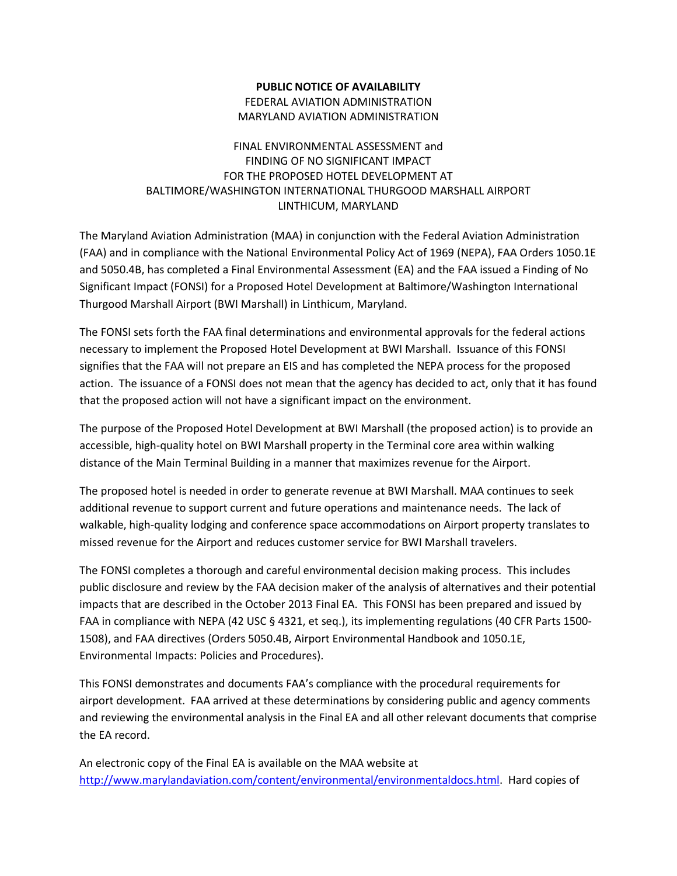## **PUBLIC NOTICE OF AVAILABILITY** FEDERAL AVIATION ADMINISTRATION MARYLAND AVIATION ADMINISTRATION

## FINAL ENVIRONMENTAL ASSESSMENT and FINDING OF NO SIGNIFICANT IMPACT FOR THE PROPOSED HOTEL DEVELOPMENT AT BALTIMORE/WASHINGTON INTERNATIONAL THURGOOD MARSHALL AIRPORT LINTHICUM, MARYLAND

The Maryland Aviation Administration (MAA) in conjunction with the Federal Aviation Administration (FAA) and in compliance with the National Environmental Policy Act of 1969 (NEPA), FAA Orders 1050.1E and 5050.4B, has completed a Final Environmental Assessment (EA) and the FAA issued a Finding of No Significant Impact (FONSI) for a Proposed Hotel Development at Baltimore/Washington International Thurgood Marshall Airport (BWI Marshall) in Linthicum, Maryland.

The FONSI sets forth the FAA final determinations and environmental approvals for the federal actions necessary to implement the Proposed Hotel Development at BWI Marshall. Issuance of this FONSI signifies that the FAA will not prepare an EIS and has completed the NEPA process for the proposed action. The issuance of a FONSI does not mean that the agency has decided to act, only that it has found that the proposed action will not have a significant impact on the environment.

The purpose of the Proposed Hotel Development at BWI Marshall (the proposed action) is to provide an accessible, high-quality hotel on BWI Marshall property in the Terminal core area within walking distance of the Main Terminal Building in a manner that maximizes revenue for the Airport.

The proposed hotel is needed in order to generate revenue at BWI Marshall. MAA continues to seek additional revenue to support current and future operations and maintenance needs. The lack of walkable, high-quality lodging and conference space accommodations on Airport property translates to missed revenue for the Airport and reduces customer service for BWI Marshall travelers.

The FONSI completes a thorough and careful environmental decision making process. This includes public disclosure and review by the FAA decision maker of the analysis of alternatives and their potential impacts that are described in the October 2013 Final EA. This FONSI has been prepared and issued by FAA in compliance with NEPA (42 USC § 4321, et seq.), its implementing regulations (40 CFR Parts 1500- 1508), and FAA directives (Orders 5050.4B, Airport Environmental Handbook and 1050.1E, Environmental Impacts: Policies and Procedures).

This FONSI demonstrates and documents FAA's compliance with the procedural requirements for airport development. FAA arrived at these determinations by considering public and agency comments and reviewing the environmental analysis in the Final EA and all other relevant documents that comprise the EA record.

An electronic copy of the Final EA is available on the MAA website at [http://www.marylandaviation.com/content/environmental/environmentaldocs.html.](http://www.marylandaviation.com/content/environmental/environmentaldocs.html) Hard copies of